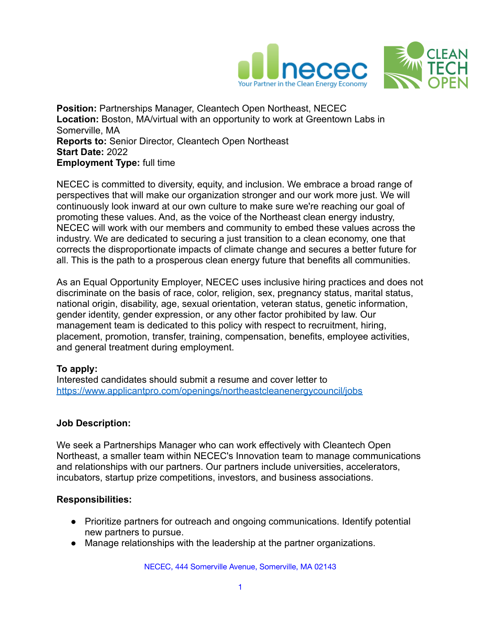

**Position:** Partnerships Manager, Cleantech Open Northeast, NECEC **Location:** Boston, MA/virtual with an opportunity to work at Greentown Labs in Somerville, MA **Reports to:** Senior Director, Cleantech Open Northeast **Start Date:** 2022 **Employment Type:** full time

NECEC is committed to diversity, equity, and inclusion. We embrace a broad range of perspectives that will make our organization stronger and our work more just. We will continuously look inward at our own culture to make sure we're reaching our goal of promoting these values. And, as the voice of the Northeast clean energy industry, NECEC will work with our members and community to embed these values across the industry. We are dedicated to securing a just transition to a clean economy, one that corrects the disproportionate impacts of climate change and secures a better future for all. This is the path to a prosperous clean energy future that benefits all communities.

As an Equal Opportunity Employer, NECEC uses inclusive hiring practices and does not discriminate on the basis of race, color, religion, sex, pregnancy status, marital status, national origin, disability, age, sexual orientation, veteran status, genetic information, gender identity, gender expression, or any other factor prohibited by law. Our management team is dedicated to this policy with respect to recruitment, hiring, placement, promotion, transfer, training, compensation, benefits, employee activities, and general treatment during employment.

# **To apply:**

Interested candidates should submit a resume and cover letter to <https://www.applicantpro.com/openings/northeastcleanenergycouncil/jobs>

# **Job Description:**

We seek a Partnerships Manager who can work effectively with Cleantech Open Northeast, a smaller team within NECEC's Innovation team to manage communications and relationships with our partners. Our partners include universities, accelerators, incubators, startup prize competitions, investors, and business associations.

# **Responsibilities:**

- Prioritize partners for outreach and ongoing communications. Identify potential new partners to pursue.
- Manage relationships with the leadership at the partner organizations.

NECEC, 444 Somerville Avenue, Somerville, MA 02143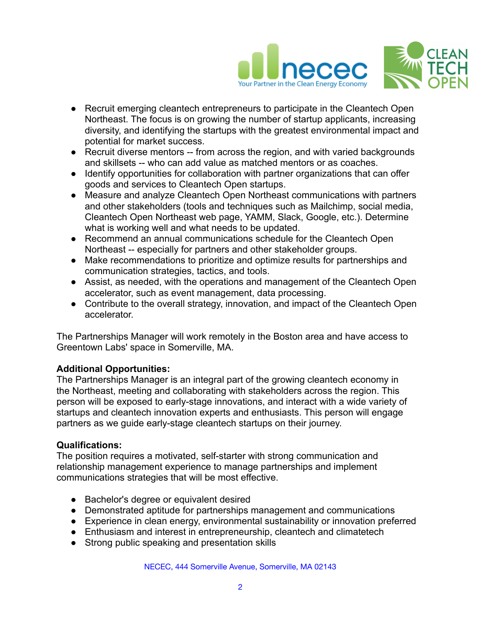

- Recruit emerging cleantech entrepreneurs to participate in the Cleantech Open Northeast. The focus is on growing the number of startup applicants, increasing diversity, and identifying the startups with the greatest environmental impact and potential for market success.
- Recruit diverse mentors -- from across the region, and with varied backgrounds and skillsets -- who can add value as matched mentors or as coaches.
- Identify opportunities for collaboration with partner organizations that can offer goods and services to Cleantech Open startups.
- Measure and analyze Cleantech Open Northeast communications with partners and other stakeholders (tools and techniques such as Mailchimp, social media, Cleantech Open Northeast web page, YAMM, Slack, Google, etc.). Determine what is working well and what needs to be updated.
- Recommend an annual communications schedule for the Cleantech Open Northeast -- especially for partners and other stakeholder groups.
- Make recommendations to prioritize and optimize results for partnerships and communication strategies, tactics, and tools.
- Assist, as needed, with the operations and management of the Cleantech Open accelerator, such as event management, data processing.
- Contribute to the overall strategy, innovation, and impact of the Cleantech Open accelerator.

The Partnerships Manager will work remotely in the Boston area and have access to Greentown Labs' space in Somerville, MA.

# **Additional Opportunities:**

The Partnerships Manager is an integral part of the growing cleantech economy in the Northeast, meeting and collaborating with stakeholders across the region. This person will be exposed to early-stage innovations, and interact with a wide variety of startups and cleantech innovation experts and enthusiasts. This person will engage partners as we guide early-stage cleantech startups on their journey.

# **Qualifications:**

The position requires a motivated, self-starter with strong communication and relationship management experience to manage partnerships and implement communications strategies that will be most effective.

- Bachelor's degree or equivalent desired
- Demonstrated aptitude for partnerships management and communications
- Experience in clean energy, environmental sustainability or innovation preferred
- Enthusiasm and interest in entrepreneurship, cleantech and climatetech
- Strong public speaking and presentation skills